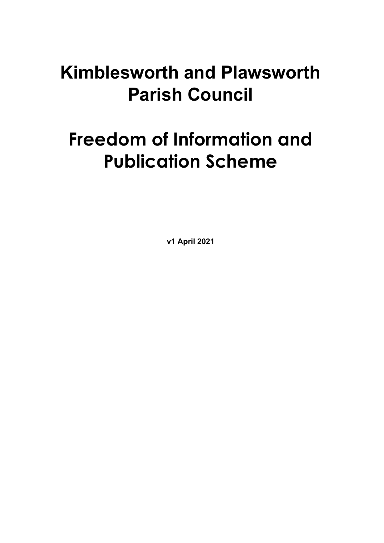## **Kimblesworth and Plawsworth Parish Council**

# **Freedom of Information and Publication Scheme**

**v1 April 2021**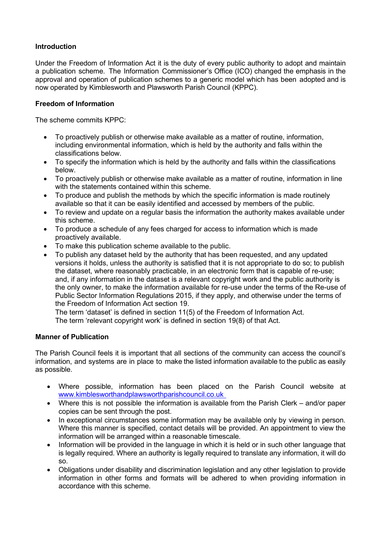## **Introduction**

Under the Freedom of Information Act it is the duty of every public authority to adopt and maintain a publication scheme. The Information Commissioner's Office (ICO) changed the emphasis in the approval and operation of publication schemes to a generic model which has been adopted and is now operated by Kimblesworth and Plawsworth Parish Council (KPPC).

## **Freedom of Information**

The scheme commits KPPC:

- To proactively publish or otherwise make available as a matter of routine, information, including environmental information, which is held by the authority and falls within the classifications below.
- To specify the information which is held by the authority and falls within the classifications below.
- To proactively publish or otherwise make available as a matter of routine, information in line with the statements contained within this scheme.
- To produce and publish the methods by which the specific information is made routinely available so that it can be easily identified and accessed by members of the public.
- To review and update on a regular basis the information the authority makes available under this scheme.
- To produce a schedule of any fees charged for access to information which is made proactively available.
- To make this publication scheme available to the public.
- To publish any dataset held by the authority that has been requested, and any updated versions it holds, unless the authority is satisfied that it is not appropriate to do so; to publish the dataset, where reasonably practicable, in an electronic form that is capable of re-use; and, if any information in the dataset is a relevant copyright work and the public authority is the only owner, to make the information available for re-use under the terms of the Re-use of Public Sector Information Regulations 2015, if they apply, and otherwise under the terms of the Freedom of Information Act section 19.

The term 'dataset' is defined in section 11(5) of the Freedom of Information Act.

The term 'relevant copyright work' is defined in section 19(8) of that Act.

#### **Manner of Publication**

The Parish Council feels it is important that all sections of the community can access the council's information, and systems are in place to make the listed information available to the public as easily as possible.

- Where possible, information has been placed on the Parish Council website at www.kimblesworthandplawsworthparishcouncil.co.uk
- Where this is not possible the information is available from the Parish Clerk and/or paper copies can be sent through the post.
- In exceptional circumstances some information may be available only by viewing in person. Where this manner is specified, contact details will be provided. An appointment to view the information will be arranged within a reasonable timescale.
- Information will be provided in the language in which it is held or in such other language that is legally required. Where an authority is legally required to translate any information, it will do so.
- Obligations under disability and discrimination legislation and any other legislation to provide information in other forms and formats will be adhered to when providing information in accordance with this scheme.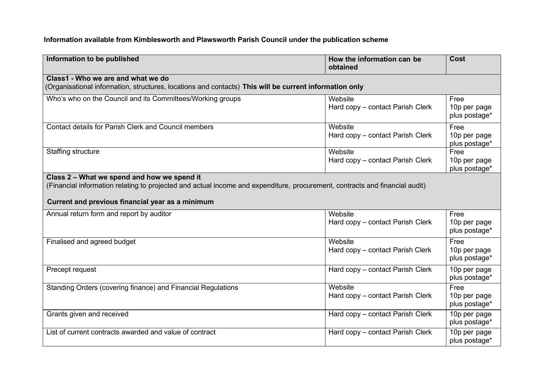## **Information available from Kimblesworth and Plawsworth Parish Council under the publication scheme**

| Information to be published                                                                                                                                                                                                    | How the information can be<br>obtained      | Cost                                  |  |
|--------------------------------------------------------------------------------------------------------------------------------------------------------------------------------------------------------------------------------|---------------------------------------------|---------------------------------------|--|
| Class1 - Who we are and what we do<br>(Organisational information, structures, locations and contacts) This will be current information only                                                                                   |                                             |                                       |  |
| Who's who on the Council and its Committees/Working groups                                                                                                                                                                     | Website<br>Hard copy - contact Parish Clerk | Free<br>10p per page<br>plus postage* |  |
| Contact details for Parish Clerk and Council members                                                                                                                                                                           | Website<br>Hard copy - contact Parish Clerk | Free<br>10p per page<br>plus postage* |  |
| <b>Staffing structure</b>                                                                                                                                                                                                      | Website<br>Hard copy - contact Parish Clerk | Free<br>10p per page<br>plus postage* |  |
| Class 2 - What we spend and how we spend it<br>(Financial information relating to projected and actual income and expenditure, procurement, contracts and financial audit)<br>Current and previous financial year as a minimum |                                             |                                       |  |
| Annual return form and report by auditor                                                                                                                                                                                       | Website<br>Hard copy – contact Parish Clerk | Free<br>10p per page<br>plus postage* |  |
| Finalised and agreed budget                                                                                                                                                                                                    | Website<br>Hard copy - contact Parish Clerk | Free<br>10p per page<br>plus postage* |  |
| Precept request                                                                                                                                                                                                                | Hard copy - contact Parish Clerk            | 10p per page<br>plus postage*         |  |
| Standing Orders (covering finance) and Financial Regulations                                                                                                                                                                   | Website<br>Hard copy - contact Parish Clerk | Free<br>10p per page<br>plus postage* |  |
| Grants given and received                                                                                                                                                                                                      | Hard copy - contact Parish Clerk            | 10p per page<br>plus postage*         |  |
| List of current contracts awarded and value of contract                                                                                                                                                                        | Hard copy – contact Parish Clerk            | 10p per page<br>plus postage*         |  |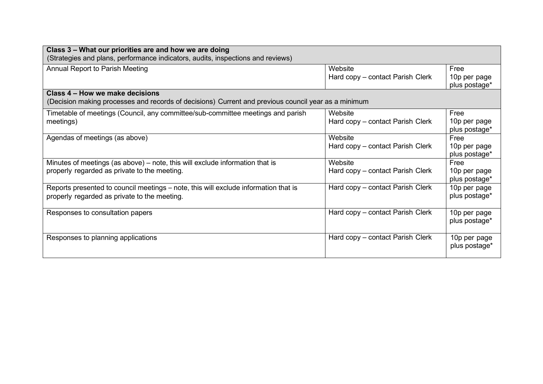| Class 3 – What our priorities are and how we are doing                                              |                                  |               |  |
|-----------------------------------------------------------------------------------------------------|----------------------------------|---------------|--|
| (Strategies and plans, performance indicators, audits, inspections and reviews)                     |                                  |               |  |
| Annual Report to Parish Meeting                                                                     | Website                          | Free          |  |
|                                                                                                     | Hard copy – contact Parish Clerk | 10p per page  |  |
|                                                                                                     |                                  | plus postage* |  |
| Class 4 – How we make decisions                                                                     |                                  |               |  |
| (Decision making processes and records of decisions) Current and previous council year as a minimum |                                  |               |  |
| Timetable of meetings (Council, any committee/sub-committee meetings and parish                     | Website                          | Free          |  |
| meetings)                                                                                           | Hard copy – contact Parish Clerk | 10p per page  |  |
|                                                                                                     |                                  | plus postage* |  |
| Agendas of meetings (as above)                                                                      | Website                          | Free          |  |
|                                                                                                     | Hard copy – contact Parish Clerk | 10p per page  |  |
|                                                                                                     |                                  | plus postage* |  |
| Minutes of meetings (as above) – note, this will exclude information that is                        | Website                          | Free          |  |
| properly regarded as private to the meeting.                                                        | Hard copy - contact Parish Clerk | 10p per page  |  |
|                                                                                                     |                                  | plus postage* |  |
| Reports presented to council meetings – note, this will exclude information that is                 | Hard copy – contact Parish Clerk | 10p per page  |  |
| properly regarded as private to the meeting.                                                        |                                  | plus postage* |  |
|                                                                                                     |                                  |               |  |
| Responses to consultation papers                                                                    | Hard copy – contact Parish Clerk | 10p per page  |  |
|                                                                                                     |                                  | plus postage* |  |
|                                                                                                     |                                  |               |  |
| Responses to planning applications                                                                  | Hard copy – contact Parish Clerk | 10p per page  |  |
|                                                                                                     |                                  | plus postage* |  |
|                                                                                                     |                                  |               |  |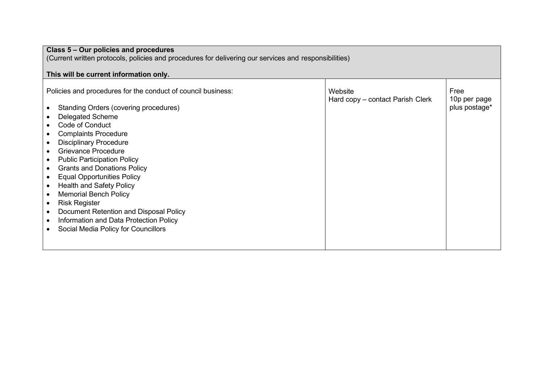| Class 5 - Our policies and procedures                                                                 |                                             |                      |  |  |
|-------------------------------------------------------------------------------------------------------|---------------------------------------------|----------------------|--|--|
| (Current written protocols, policies and procedures for delivering our services and responsibilities) |                                             |                      |  |  |
|                                                                                                       |                                             |                      |  |  |
| This will be current information only.                                                                |                                             |                      |  |  |
| Policies and procedures for the conduct of council business:                                          | Website<br>Hard copy - contact Parish Clerk | Free<br>10p per page |  |  |
| <b>Standing Orders (covering procedures)</b>                                                          |                                             | plus postage*        |  |  |
| Delegated Scheme                                                                                      |                                             |                      |  |  |
| Code of Conduct                                                                                       |                                             |                      |  |  |
| <b>Complaints Procedure</b><br>$\bullet$                                                              |                                             |                      |  |  |
| <b>Disciplinary Procedure</b>                                                                         |                                             |                      |  |  |
| <b>Grievance Procedure</b>                                                                            |                                             |                      |  |  |
| <b>Public Participation Policy</b>                                                                    |                                             |                      |  |  |
| <b>Grants and Donations Policy</b><br>$\bullet$                                                       |                                             |                      |  |  |
| <b>Equal Opportunities Policy</b>                                                                     |                                             |                      |  |  |
| <b>Health and Safety Policy</b>                                                                       |                                             |                      |  |  |
| <b>Memorial Bench Policy</b>                                                                          |                                             |                      |  |  |
| <b>Risk Register</b><br>$\bullet$                                                                     |                                             |                      |  |  |
| Document Retention and Disposal Policy                                                                |                                             |                      |  |  |
| Information and Data Protection Policy                                                                |                                             |                      |  |  |
| Social Media Policy for Councillors                                                                   |                                             |                      |  |  |
|                                                                                                       |                                             |                      |  |  |
|                                                                                                       |                                             |                      |  |  |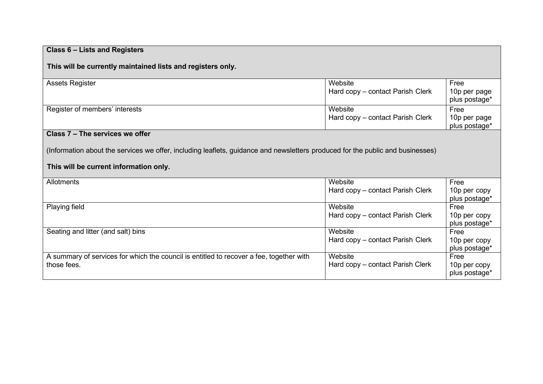| Class 6 – Lists and Registers                                                                                                  |                                             |                                       |  |
|--------------------------------------------------------------------------------------------------------------------------------|---------------------------------------------|---------------------------------------|--|
| This will be currently maintained lists and registers only.                                                                    |                                             |                                       |  |
| <b>Assets Register</b>                                                                                                         | Website<br>Hard copy - contact Parish Clerk | Free<br>10p per page<br>plus postage* |  |
| Register of members' interests                                                                                                 | Website<br>Hard copy - contact Parish Clerk | Free<br>10p per page<br>plus postage* |  |
| Class 7 - The services we offer                                                                                                |                                             |                                       |  |
| (Information about the services we offer, including leaflets, guidance and newsletters produced for the public and businesses) |                                             |                                       |  |
| This will be current information only.                                                                                         |                                             |                                       |  |
| Allotments                                                                                                                     | Website                                     | Free                                  |  |
|                                                                                                                                | Hard copy – contact Parish Clerk            | 10p per copy<br>plus postage*         |  |
| <b>Playing field</b>                                                                                                           | Website                                     | Free                                  |  |
|                                                                                                                                | Hard copy – contact Parish Clerk            | 10p per copy<br>plus postage*         |  |
| Seating and litter (and salt) bins                                                                                             | Website                                     | Free                                  |  |
|                                                                                                                                | Hard copy - contact Parish Clerk            | 10p per copy<br>plus postage*         |  |
| A summary of services for which the council is entitled to recover a fee, together with                                        | Website                                     | Free                                  |  |
| those fees.                                                                                                                    | Hard copy - contact Parish Clerk            | 10p per copy<br>plus postage*         |  |